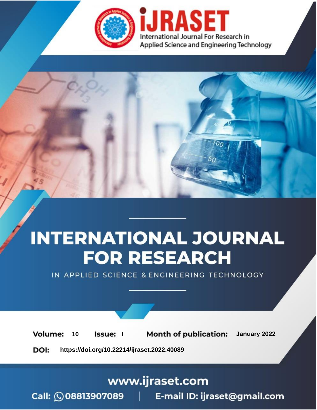

# **INTERNATIONAL JOURNAL FOR RESEARCH**

IN APPLIED SCIENCE & ENGINEERING TECHNOLOGY

**Month of publication:** January 2022 **Volume:** 10 **Issue:** I

DOI: https://doi.org/10.22214/ijraset.2022.40089

www.ijraset.com

 $Call: \bigcirc$ 08813907089 E-mail ID: ijraset@gmail.com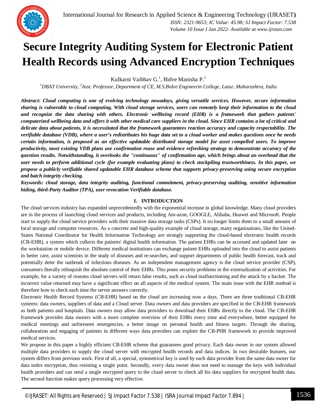

### **Secure Integrity Auditing System for Electronic Patient Health Records using Advanced Encryption Techniques**

Kulkarni Vaibhav G.<sup>1</sup>, Bidve Manisha P.<sup>2</sup>

*<sup>1</sup>DBAT University, <sup>2</sup>Asst. Professor, Department of CE, M.S.Bidve Engineerin College, Latur, Maharashtra, India*

*Abstract: Cloud computing is one of evolving technology nowadays, giving versatile services. However, secure information sharing is vulnerable to cloud computing. With cloud storage services, users can remotely keep their information to the cloud and recognize the data sharing with others. Electronic wellbeing record (EHR) is a framework that gathers patients' computerized wellbeing data and offers it with other medical care suppliers in the cloud. Since EHR contains a lot of critical and delicate data about patients, it is necessitated that the framework guarantees reaction accuracy and capacity respectability. The verifiable database (VDB), where a user's redistributes his huge data set to a cloud worker and makes questions once he needs certain information, is proposed as an effective updatable distributed storage model for asset compelled users. To improve productivity, most existing VDB plans use confirmation reuse and evidence refreshing strategy to demonstrate accuracy of the question results. Notwithstanding, it overlooks the "continuous" of confirmation age, which brings about an overhead that the user needs to perform additional cycle (for example evaluating plans) to check stockpiling trustworthiness. In this paper, we propose a publicly verifiable shared updatable EHR database scheme that supports privacy-preserving using secure encryption and batch integrity checking.*

*Keywords: cloud storage, data integrity auditing, functional commitment, privacy-preserving auditing, sensitive information hiding, third-Party Auditor (TPA), user revocation Verifiable database.*

#### **I. INTRODUCTION**

The cloud services industry has expanded unprecedentedly with the exponential increase in global knowledge. Many cloud providers are in the process of launching cloud services and products, including Am-azon, GOOGLE, Alibaba, Huawei and Microsoft. People start to supply the cloud service providers with their massive data storage tasks (CSPs). It no longer limits them to a small amount of local storage and computer resources. As a concrete and high-quality example of cloud storage, many organisations, like the United-States National Coordinator for Health Information Technology are strongly supporting the cloud-based electronic health records (CB-EHR), a system which collects the patients' digital health information. The patient EHRs can be accessed and updated later on the workstation or mobile device. Different medical institutions can exchange patient EHRs uploaded into the cloud to assist patients in better care, assist scientists in the study of diseases and re-searches, and support departments of public health forecast, track and potentially deter the outbreak of infectious diseases. As an independent management agency is the cloud service provider (CSP), consumers literally relinquish the absolute control of their EHRs. This poses security problems in the externalization of activities. For example, for a variety of reasons cloud servers will return false results, such as cloud malfunctioning and the attack by a hacker. The incorrect value returned may have a significant effect on all aspects of the medical system. The main issue with the EHR method is therefore how to check each time the server answers correctly.

Electronic Health Record Systems (CB-EHR) based on the cloud are increasing now a days. There are three traditional CB-EHR systems: data owners, suppliers of data and a Cloud server. Data owners and data providers are specified in the CB-EHR framework as both patients and hospitals. Data owners may allow data providers to download their EHRs directly to the cloud. The CB-EHR framework provides data owners with a more complete overview of their EHRs every time and everywhere, better equipped for medical meetings and unforeseen emergencies, a better image on personal health and fitness targets. Through the sharing, collaboration and engaging of patients in different ways data providers can explore the CB-PHR framework to provide improved medical services.

We propose in this paper a highly efficient CB-EHR scheme that guarantees good privacy. Each data owner in our system allowed multiple data providers to supply the cloud server with encrypted health records and data indices. In two desirable features, our system differs from previous work. First of all, a special, symmetrical key is used by each data provider from the same data owner for data index encryption, thus resisting a single point. Secondly, every data owner does not need to manage the keys with individual health providers and can send a single encrypted query to the cloud server to check all his data suppliers for encrypted health data. The second function makes query processing very effective.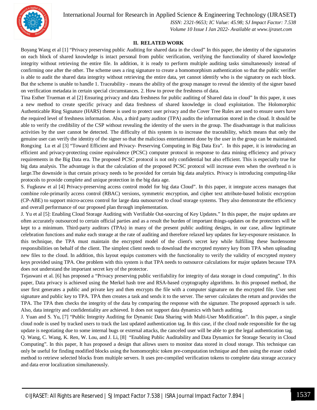

International Journal for Research in Applied Science & Engineering Technology (IJRASET**)**

 *ISSN: 2321-9653; IC Value: 45.98; SJ Impact Factor: 7.538 Volume 10 Issue I Jan 2022- Available at www.ijraset.com*

#### **II. RELATED WORK**

Boyang Wang et al [1] "Privacy preserving public Auditing for shared data in the cloud" In this paper, the identity of the signatories on each block of shared knowledge is intact personal from public verification, verifying the functionality of shared knowledge integrity without retrieving the entire file. In addition, it is ready to perform multiple auditing tasks simultaneously instead of confirming one after the other. The scheme uses a ring signature to create a homomorphism authentication so that the public verifier is able to audit the shared data integrity without retrieving the entire data, yet cannot identify who is the signatory on each block. But the scheme is unable to handle 1. Traceability - means the ability of the group manager to reveal the identity of the signer based on verification metadata in certain special circumstances. 2. How to prove the freshness of data.

Tina Esther Trueman et al [2] Ensuring privacy and data freshness for public auditing of Shared data in cloud" In this paper, it uses a new method to create specific privacy and data freshness of shared knowledge in cloud exploitation. The Holomorphic Authenticable Ring Signature (HARS) theme is used to protect user privacy and the Cover Tree Rules are used to ensure users have the required level of freshness information. Also, a third party auditor (TPA) audits the information stored in the cloud. It should be able to verify the credibility of the CSP without revealing the identity of the users in the group. The disadvantage is that malicious activities by the user cannot be detected. The difficulty of this system is to increase the traceability, which means that only the genuine user can verify the identity of the signer so that the malicious entertainment done by the user in the group can be maintained. Rongxing Lu et al [3] "Toward Efficient and Privacy- Preserving Computing in Big Data Era". In this paper, it is introducing an efficient and privacy-protecting cosine equivalence (PCSC) computer protocol in response to data mining efficiency and privacy requirements in the Big Data era. The proposed PCSC protocol is not only confidential but also efficient. This is especially true for big data analysis. The advantage is that the calculation of the proposed PCSC protocol will increase even when the overhead n is large.The downside is that certain privacy needs to be provided for certain big data analytics. Privacy is introducing computing-like protocols to provide complete and unique protection in the big data age.

S. Fugkeaw et al [4] Privacy-preserving access control model for big data Cloud". In this paper, it integrate access manages that combine role-primarily access control (RBAC) versions, symmetric encryption, and cipher text attribute-based holistic encryption (CP-ABE) to support micro-access control for large data outsourced to cloud storage systems. They also demonstrate the efficiency and overall performance of our proposed plan through implementation.

J. Yu et al [5]: Enabling Cloud Storage Auditing with Verifiable Out-sourcing of Key Updates." In this paper, the major updates are often accurately outsourced to certain official parties and as a result the burden of important things-updates on the protectors will be kept to a minimum. Third-party auditors (TPAs) in many of the present public auditing designs, in our case, allow legitimate celebration functions and make each storage at the rate of auditing and therefore relaxed key updates for key-exposure resistance. In this technique, the TPA must maintain the encrypted model of the client's secret key while fulfilling these burdensome responsibilities on behalf of the client. The simplest client needs to download the encrypted mystery key from TPA when uploading new files to the cloud. In addition, this layout equips customers with the functionality to verify the validity of encrypted mystery keys provided using TPA. One problem with this system is that TPA needs to outsource calculations for major updates because TPA does not understand the important secret key of the protector.

Tejaswani et al. [6] has proposed a "Privacy preserving public verifiability for integrity of data storage in cloud computing". In this paper, Data privacy is achieved using the Merkel hash tree and RSA-based cryptography algorithms. In this proposed method, the user first generates a public and private key and then encrypts the file with a computer signature on the encrypted file. User sent signature and public key to TPA. TPA then creates a task and sends it to the server. The server calculates the return and provides the TPA. The TPA then checks the integrity of the data by comparing the response with the signature. The proposed approach is safe. Also, data integrity and confidentiality are achieved. It does not support data dynamics with batch auditing.

J. Yuan and S. Yu, [7] "Public Integrity Auditing for Dynamic Data Sharing with Multi-User Modification". In this paper, a single cloud node is used by tracked users to track the last updated authentication tag. In this case, if the cloud node responsible for the tag update is negotiating due to some internal bugs or external attacks, the canceled user will be able to get the legal authentication tag.

Q. Wang, C. Wang, K. Ren, W. Lou, and J. Li, [8] "Enabling Public Auditability and Data Dynamics for Storage Security in Cloud Computing". In this paper, It has proposed a design that allows users to monitor data stored in cloud storage. This technique can only be useful for finding modified blocks using the homomorphic token pre-computation technique and then using the eraser coded method to retrieve selected blocks from multiple servers. It uses pre-compiled verification tokens to complete data storage accuracy and data error localization simultaneously.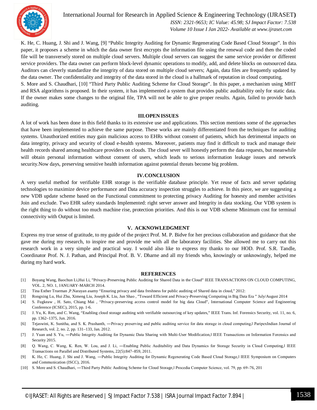

auditing.

International Journal for Research in Applied Science & Engineering Technology (IJRASET**)**  *ISSN: 2321-9653; IC Value: 45.98; SJ Impact Factor: 7.538 Volume 10 Issue I Jan 2022- Available at www.ijraset.com*

K. He, C. Huang, J. Shi and J. Wang, [9] "Public Integrity Auditing for Dynamic Regenerating Code Based Cloud Storage". In this paper, it proposes a scheme in which the data owner first encrypts the information file using the renewal code and then the coded file will be transversely stored on multiple cloud servers. Multiple cloud servers can suggest the same service provider or different service providers. The data owner can perform block-level dynamic operations to modify, add, and delete blocks on outsourced data. Auditors can cleverly standardize the integrity of data stored on multiple cloud servers; Again, data files are frequently updated by the data owner. The confidentiality and integrity of the data stored in the cloud is a hallmark of reputation in cloud computing. S. More and S. Chaudhari, [10] "Third Party Public Auditing Scheme for Cloud Storage". In this paper, a mechanism using MHT and RSA algorithms is proposed. In their system, it has implemented a system that provides public auditability only for static data. If the owner makes some changes to the original file, TPA will not be able to give proper results. Again, failed to provide batch

#### **III.OPEN ISSUES**

A lot of work has been done in this field thanks to its extensive use and applications. This section mentions some of the approaches that have been implemented to achieve the same purpose. These works are mainly differentiated from the techniques for auditing systems. Unauthorized entities may gain malicious access to EHRs without consent of patients, which has detrimental impacts on data integrity, privacy and security of cloud e-health systems. Moreover, patients may find it difficult to track and manage their health records shared among healthcare providers on clouds. The cloud sever will honestly perform the data requests, but meanwhile will obtain personal information without consent of users, which leads to serious information leakage issues and network security.Now days, preserving sensitive health information against potential threats become big problem.

#### **IV.CONCLUSION**

A very useful method for verifiable EHR storage is the verifiable database principle. Yet reuse of facts and server updating technologies to maximize device performance and Data accuracy inspection struggles to achieve. In this piece, we are suggesting a new VDB update scheme based on the Functional commitment to protecting privacy Auditing for honesty and member activities Join and exclude. Two EHR safety standards Implemented: right server answer and Integrity in data stocking. Our VDB system is the right thing to do without too much machine rise, protection priorities. And this is our VDB scheme Minimum cost for terminal connectivity with Output is limited.

#### **V. ACKNOWLEDGMENT**

Express my true sense of gratitude, to my guide of the project Prof. M. P. Bidve for her precious collaboration and guidance that she gave me during my research, to inspire me and provide me with all the laboratory facilities. She allowed me to carry out this research work in a very simple and practical way. I would also like to express my thanks to our HOD. Prof. S.R. Tandle, Coordinator Prof. N. J. Pathan, and Principal Prof. B. V. Dharne and all my friends who, knowingly or unknowingly, helped me during my hard work.

#### **REFERENCES**

- [1] Boyang Wang, Baochun Li,Hui Li, "Privacy-Preserving Public Auditing for Shared Data in the Cloud" IEEE TRANSACTIONS ON CLOUD COMPUTING, VOL. 2, NO. 1, JANUARY-MARCH 2014.
- [2] Tina Esther Trueman ,P.Narayan asamy "Ensuring privacy and data freshness for public auditing of Shared data in cloud," 2012:
- [3] Rongxing Lu, Hui Zhu, Ximeng Liu, Joseph K. Liu, Jun Shao , "Toward Efficient and Privacy-Preserving Computing in Big Data Era " July/August 2014
- [4] S. Fugkeaw , H. Sato, Chiang Mai , "Privacy-preserving access control model for big data Cloud", International Computer Science and Engineering Conference (ICSEC), 2015, pp. 1-6.
- [5] J. Yu, K. Ren, and C. Wang, "Enabling cloud storage auditing with verifiable outsourcing of key updates," IEEE Trans. Inf. Forensics Security, vol. 11, no. 6, pp. 1362–1375, Jun. 2016.
- [6] Tejaswini, K. Sunitha, and S. K. Prashanth, —Privacy preserving and public auditing service for data storage in cloud computing, lParipexIndian Journal of Research, vol. 2, no. 2, pp. 131–133, Jan. 2012.
- [7] J. Yuan and S. Yu, —Public Integrity Auditing for Dynamic Data Sharing with Multi-User Modification, I IEEE Transactions on Information Forensics and Security 2015.
- [8] Q. Wang, C. Wang, K. Ren, W. Lou, and J. Li, —Enabling Public Auditability and Data Dynamics for Storage Security in Cloud Computing, IEEE Transactions on Parallel and Distributed Systems, 22(5):847–859, 2011.
- [9] K. He, C. Huang, J. Shi and J. Wang, Public Integrity Auditing for Dynamic Regenerating Code Based Cloud Storage, I IEEE Symposium on Computers and Communication (ISCC), 2016.
- [10] S. More and S. Chaudhari, —Third Party Public Auditing Scheme for Cloud Storage, | Procedia Computer Science, vol. 79, pp. 69-76, 201